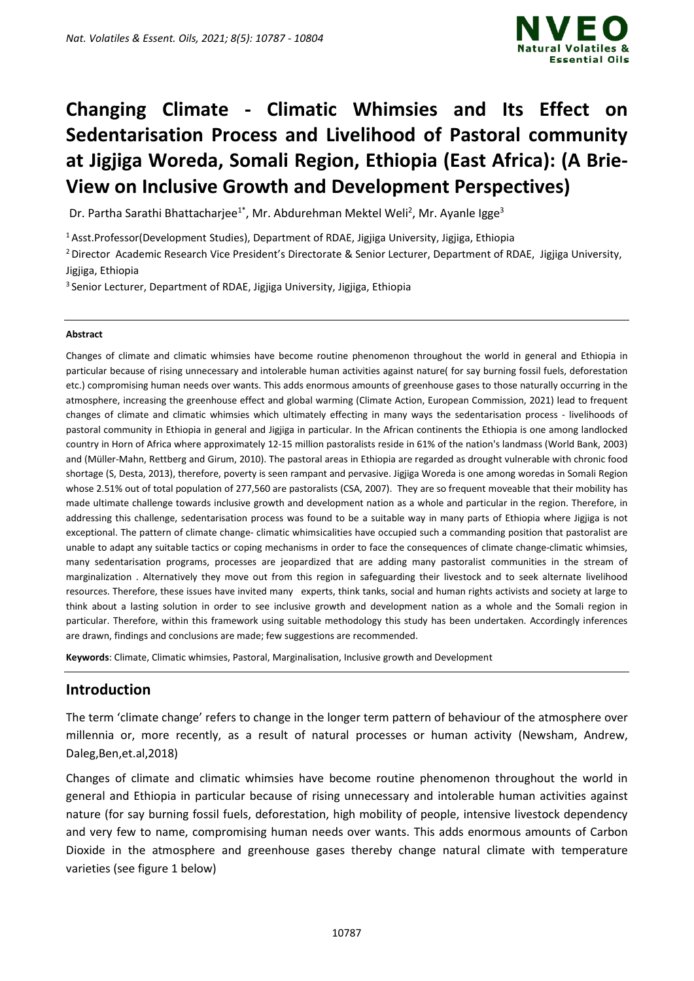

# **Changing Climate - Climatic Whimsies and Its Effect on Sedentarisation Process and Livelihood of Pastoral community at Jigjiga Woreda, Somali Region, Ethiopia (East Africa): (A Brie-View on Inclusive Growth and Development Perspectives)**

Dr. Partha Sarathi Bhattacharjee<sup>1\*</sup>, Mr. Abdurehman Mektel Weli<sup>2</sup>, Mr. Ayanle Igge<sup>3</sup>

<sup>1</sup> Asst.Professor(Development Studies), Department of RDAE, Jigjiga University, Jigjiga, Ethiopia

<sup>2</sup> Director Academic Research Vice President's Directorate & Senior Lecturer, Department of RDAE, Jigjiga University, Jigjiga, Ethiopia

<sup>3</sup> Senior Lecturer, Department of RDAE, Jigjiga University, Jigjiga, Ethiopia

#### **Abstract**

Changes of climate and climatic whimsies have become routine phenomenon throughout the world in general and Ethiopia in particular because of rising unnecessary and intolerable human activities against nature( for say burning fossil fuels, deforestation etc.) compromising human needs over wants. This adds enormous amounts of greenhouse gases to those naturally occurring in the atmosphere, increasing the greenhouse effect and global warming (Climate Action, European Commission, 2021) lead to frequent changes of climate and climatic whimsies which ultimately effecting in many ways the sedentarisation process - livelihoods of pastoral community in Ethiopia in general and Jigjiga in particular. In the African continents the Ethiopia is one among landlocked country in Horn of Africa where approximately 12-15 million pastoralists reside in 61% of the nation's landmass (World Bank, 2003) and (Müller-Mahn, Rettberg and Girum, 2010). The pastoral areas in Ethiopia are regarded as drought vulnerable with chronic food shortage (S, Desta, 2013), therefore, poverty is seen rampant and pervasive. Jigjiga Woreda is one among woredas in Somali Region whose 2.51% out of total population of 277,560 are pastoralists (CSA, 2007). They are so frequent moveable that their mobility has made ultimate challenge towards inclusive growth and development nation as a whole and particular in the region. Therefore, in addressing this challenge, sedentarisation process was found to be a suitable way in many parts of Ethiopia where Jigjiga is not exceptional. The pattern of climate change- climatic whimsicalities have occupied such a commanding position that pastoralist are unable to adapt any suitable tactics or coping mechanisms in order to face the consequences of climate change-climatic whimsies, many sedentarisation programs, processes are jeopardized that are adding many pastoralist communities in the stream of marginalization . Alternatively they move out from this region in safeguarding their livestock and to seek alternate livelihood resources. Therefore, these issues have invited many experts, think tanks, social and human rights activists and society at large to think about a lasting solution in order to see inclusive growth and development nation as a whole and the Somali region in particular. Therefore, within this framework using suitable methodology this study has been undertaken. Accordingly inferences are drawn, findings and conclusions are made; few suggestions are recommended.

**Keywords**: Climate, Climatic whimsies, Pastoral, Marginalisation, Inclusive growth and Development

# **Introduction**

The term 'climate change' refers to change in the longer term pattern of behaviour of the atmosphere over millennia or, more recently, as a result of natural processes or human activity (Newsham, Andrew, Daleg,Ben,et.al,2018)

Changes of climate and climatic whimsies have become routine phenomenon throughout the world in general and Ethiopia in particular because of rising unnecessary and intolerable human activities against nature (for say burning fossil fuels, deforestation, high mobility of people, intensive livestock dependency and very few to name, compromising human needs over wants. This adds enormous amounts of Carbon Dioxide in the atmosphere and greenhouse gases thereby change natural climate with temperature varieties (see figure 1 below)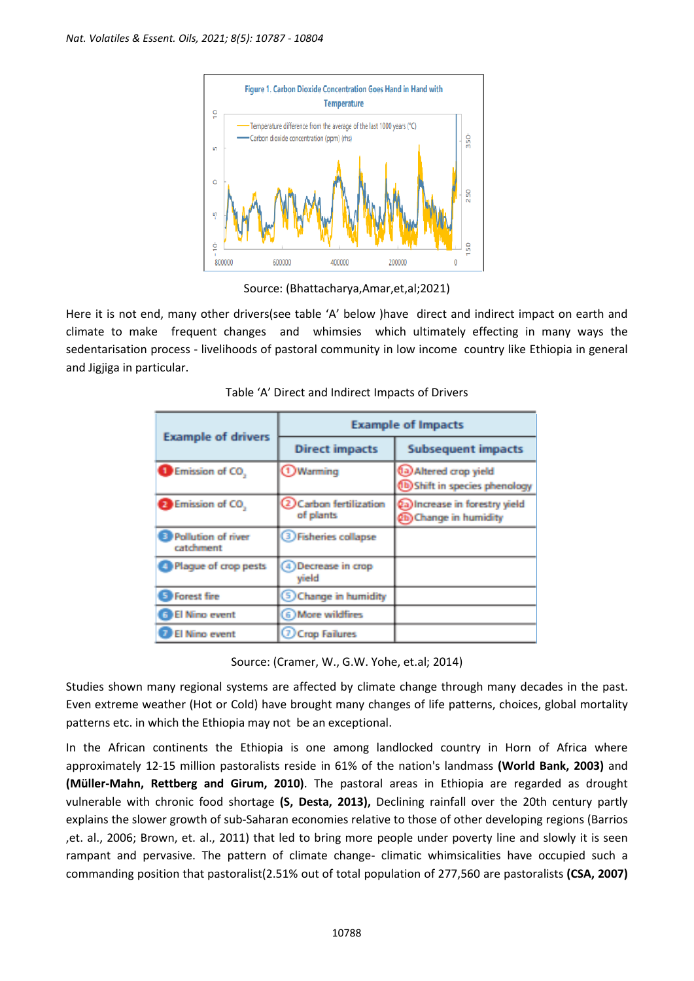

Source: (Bhattacharya,Amar,et,al;2021)

Here it is not end, many other drivers(see table 'A' below )have direct and indirect impact on earth and climate to make frequent changes and whimsies which ultimately effecting in many ways the sedentarisation process - livelihoods of pastoral community in low income country like Ethiopia in general and Jigjiga in particular.

| <b>Example of drivers</b>       | <b>Example of Impacts</b>           |                                                           |  |
|---------------------------------|-------------------------------------|-----------------------------------------------------------|--|
|                                 | <b>Direct impacts</b>               | <b>Subsequent impacts</b>                                 |  |
| Emission of CO.                 | <b>1</b> Warming                    | (la) Altered crop yield<br>(b) Shift in species phenology |  |
| Emission of CO.                 | 2 Carbon fertilization<br>of plants | (a) Increase in forestry yield<br>(b) Change in humidity  |  |
| Pollution of river<br>catchment | <b>Thisheries collapse</b>          |                                                           |  |
| Plaque of crop pests            | 4) Decrease in crop<br>vield        |                                                           |  |
| <b>Forest fire</b><br>S         | <b>Schange in humidity</b>          |                                                           |  |
| <b>GB</b> El Nino event         | 6) More wildfires                   |                                                           |  |
| El Nino event                   | <b>O</b> Crop Failures              |                                                           |  |

Source: (Cramer, W., G.W. Yohe, et.al; 2014)

Studies shown many regional systems are affected by climate change through many decades in the past. Even extreme weather (Hot or Cold) have brought many changes of life patterns, choices, global mortality patterns etc. in which the Ethiopia may not be an exceptional.

In the African continents the Ethiopia is one among landlocked country in Horn of Africa where approximately 12-15 million pastoralists reside in 61% of the nation's landmass **(World Bank, 2003)** and **(Müller-Mahn, Rettberg and Girum, 2010)**. The pastoral areas in Ethiopia are regarded as drought vulnerable with chronic food shortage **(S, Desta, 2013),** Declining rainfall over the 20th century partly explains the slower growth of sub-Saharan economies relative to those of other developing regions (Barrios ,et. al., 2006; Brown, et. al., 2011) that led to bring more people under poverty line and slowly it is seen rampant and pervasive. The pattern of climate change- climatic whimsicalities have occupied such a commanding position that pastoralist(2.51% out of total population of 277,560 are pastoralists **(CSA, 2007)**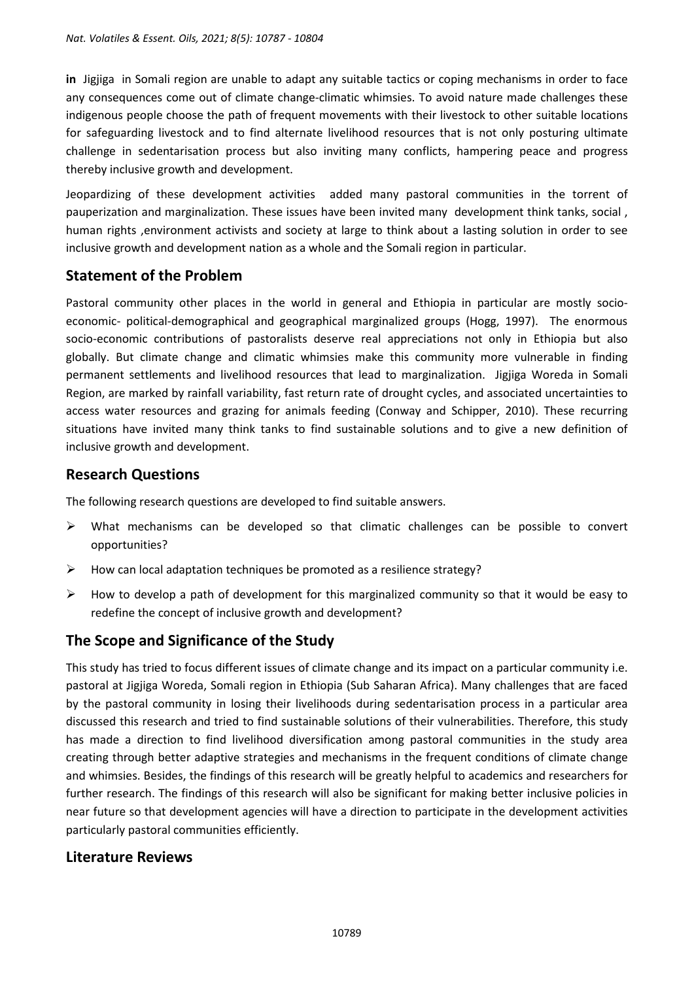**in** Jigjiga in Somali region are unable to adapt any suitable tactics or coping mechanisms in order to face any consequences come out of climate change-climatic whimsies. To avoid nature made challenges these indigenous people choose the path of frequent movements with their livestock to other suitable locations for safeguarding livestock and to find alternate livelihood resources that is not only posturing ultimate challenge in sedentarisation process but also inviting many conflicts, hampering peace and progress thereby inclusive growth and development.

Jeopardizing of these development activities added many pastoral communities in the torrent of pauperization and marginalization. These issues have been invited many development think tanks, social , human rights ,environment activists and society at large to think about a lasting solution in order to see inclusive growth and development nation as a whole and the Somali region in particular.

# **Statement of the Problem**

Pastoral community other places in the world in general and Ethiopia in particular are mostly socioeconomic- political-demographical and geographical marginalized groups (Hogg, 1997). The enormous socio-economic contributions of pastoralists deserve real appreciations not only in Ethiopia but also globally. But climate change and climatic whimsies make this community more vulnerable in finding permanent settlements and livelihood resources that lead to marginalization. Jigjiga Woreda in Somali Region, are marked by rainfall variability, fast return rate of drought cycles, and associated uncertainties to access water resources and grazing for animals feeding (Conway and Schipper, 2010). These recurring situations have invited many think tanks to find sustainable solutions and to give a new definition of inclusive growth and development.

# **Research Questions**

The following research questions are developed to find suitable answers.

- ➢ What mechanisms can be developed so that climatic challenges can be possible to convert opportunities?
- ➢ How can local adaptation techniques be promoted as a resilience strategy?
- $\triangleright$  How to develop a path of development for this marginalized community so that it would be easy to redefine the concept of inclusive growth and development?

# **The Scope and Significance of the Study**

This study has tried to focus different issues of climate change and its impact on a particular community i.e. pastoral at Jigjiga Woreda, Somali region in Ethiopia (Sub Saharan Africa). Many challenges that are faced by the pastoral community in losing their livelihoods during sedentarisation process in a particular area discussed this research and tried to find sustainable solutions of their vulnerabilities. Therefore, this study has made a direction to find livelihood diversification among pastoral communities in the study area creating through better adaptive strategies and mechanisms in the frequent conditions of climate change and whimsies. Besides, the findings of this research will be greatly helpful to academics and researchers for further research. The findings of this research will also be significant for making better inclusive policies in near future so that development agencies will have a direction to participate in the development activities particularly pastoral communities efficiently.

# **Literature Reviews**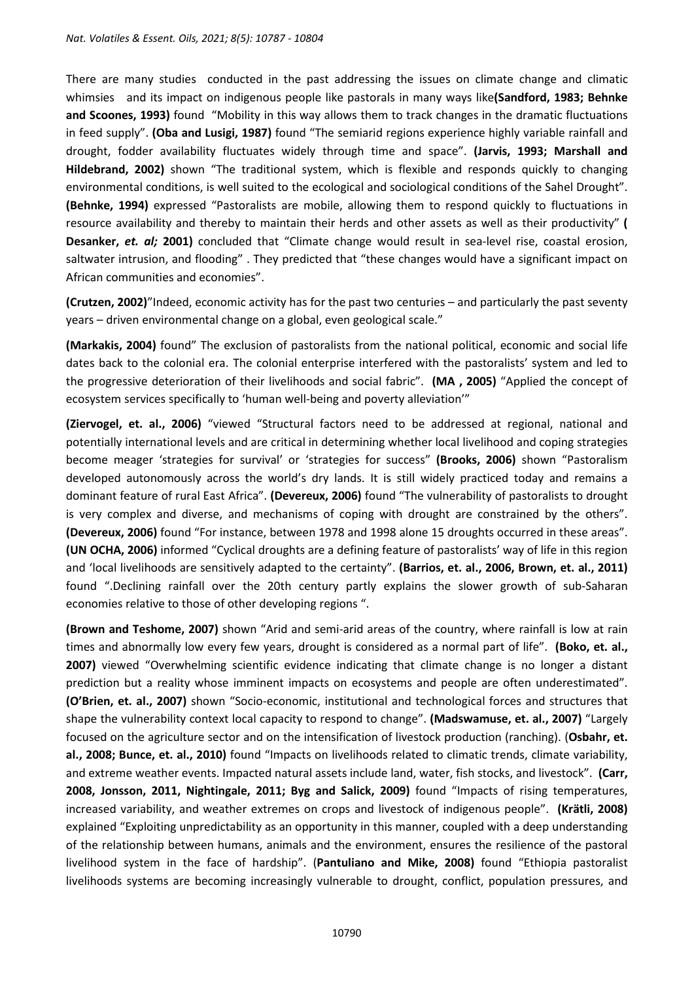There are many studies conducted in the past addressing the issues on climate change and climatic whimsies and its impact on indigenous people like pastorals in many ways like**(Sandford, 1983; Behnke and Scoones, 1993)** found "Mobility in this way allows them to track changes in the dramatic fluctuations in feed supply". **(Oba and Lusigi, 1987)** found "The semiarid regions experience highly variable rainfall and drought, fodder availability fluctuates widely through time and space". **(Jarvis, 1993; Marshall and Hildebrand, 2002)** shown "The traditional system, which is flexible and responds quickly to changing environmental conditions, is well suited to the ecological and sociological conditions of the Sahel Drought". **(Behnke, 1994)** expressed "Pastoralists are mobile, allowing them to respond quickly to fluctuations in resource availability and thereby to maintain their herds and other assets as well as their productivity" **( Desanker,** *et. al;* **2001)** concluded that "Climate change would result in sea-level rise, coastal erosion, saltwater intrusion, and flooding" . They predicted that "these changes would have a significant impact on African communities and economies".

**(Crutzen, 2002)**"Indeed, economic activity has for the past two centuries – and particularly the past seventy years – driven environmental change on a global, even geological scale."

**(Markakis, 2004)** found" The exclusion of pastoralists from the national political, economic and social life dates back to the colonial era. The colonial enterprise interfered with the pastoralists' system and led to the progressive deterioration of their livelihoods and social fabric". **(MA , 2005)** "Applied the concept of ecosystem services specifically to 'human well-being and poverty alleviation'"

**(Ziervogel, et. al., 2006)** "viewed "Structural factors need to be addressed at regional, national and potentially international levels and are critical in determining whether local livelihood and coping strategies become meager 'strategies for survival' or 'strategies for success" **(Brooks, 2006)** shown "Pastoralism developed autonomously across the world's dry lands. It is still widely practiced today and remains a dominant feature of rural East Africa". **(Devereux, 2006)** found "The vulnerability of pastoralists to drought is very complex and diverse, and mechanisms of coping with drought are constrained by the others". **(Devereux, 2006)** found "For instance, between 1978 and 1998 alone 15 droughts occurred in these areas". **(UN OCHA, 2006)** informed "Cyclical droughts are a defining feature of pastoralists' way of life in this region and 'local livelihoods are sensitively adapted to the certainty". **(Barrios, et. al., 2006, Brown, et. al., 2011)** found ".Declining rainfall over the 20th century partly explains the slower growth of sub-Saharan economies relative to those of other developing regions ".

**(Brown and Teshome, 2007)** shown "Arid and semi-arid areas of the country, where rainfall is low at rain times and abnormally low every few years, drought is considered as a normal part of life". **(Boko, et. al., 2007)** viewed "Overwhelming scientific evidence indicating that climate change is no longer a distant prediction but a reality whose imminent impacts on ecosystems and people are often underestimated". **(O'Brien, et. al., 2007)** shown "Socio-economic, institutional and technological forces and structures that shape the vulnerability context local capacity to respond to change". **(Madswamuse, et. al., 2007)** "Largely focused on the agriculture sector and on the intensification of livestock production (ranching). (**Osbahr, et. al., 2008; Bunce, et. al., 2010)** found "Impacts on livelihoods related to climatic trends, climate variability, and extreme weather events. Impacted natural assets include land, water, fish stocks, and livestock". **(Carr, 2008, Jonsson, 2011, Nightingale, 2011; Byg and Salick, 2009)** found "Impacts of rising temperatures, increased variability, and weather extremes on crops and livestock of indigenous people". **(Krätli, 2008)** explained "Exploiting unpredictability as an opportunity in this manner, coupled with a deep understanding of the relationship between humans, animals and the environment, ensures the resilience of the pastoral livelihood system in the face of hardship". (**Pantuliano and Mike, 2008)** found "Ethiopia pastoralist livelihoods systems are becoming increasingly vulnerable to drought, conflict, population pressures, and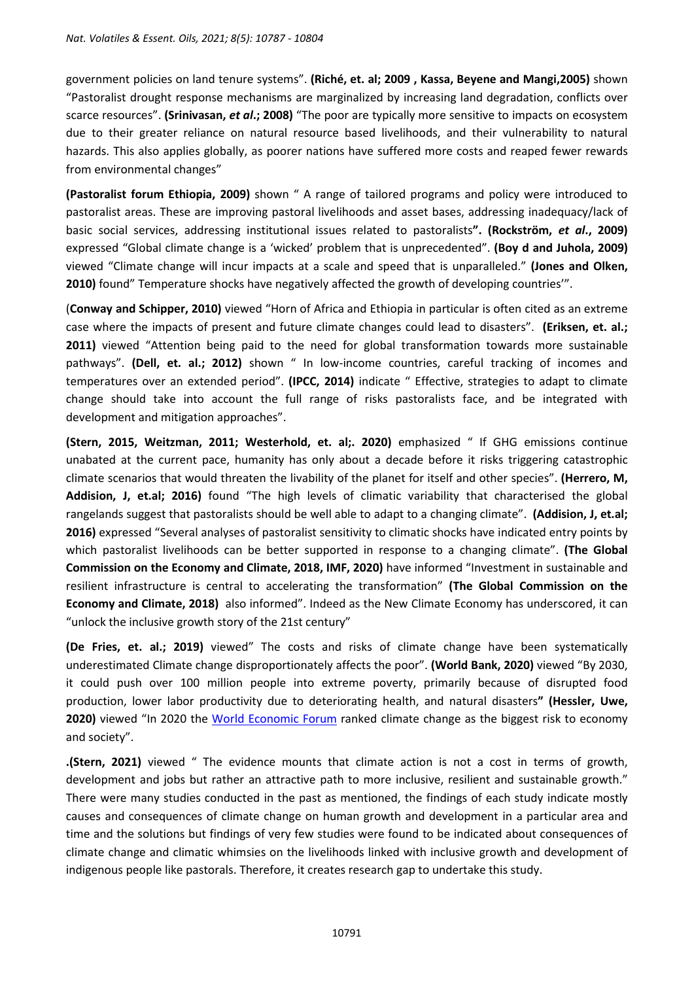government policies on land tenure systems". **(Riché, et. al; 2009 , Kassa, Beyene and Mangi,2005)** shown "Pastoralist drought response mechanisms are marginalized by increasing land degradation, conflicts over scarce resources". **(Srinivasan,** *et al***.; 2008)** "The poor are typically more sensitive to impacts on ecosystem due to their greater reliance on natural resource based livelihoods, and their vulnerability to natural hazards. This also applies globally, as poorer nations have suffered more costs and reaped fewer rewards from environmental changes"

**(Pastoralist forum Ethiopia, 2009)** shown " A range of tailored programs and policy were introduced to pastoralist areas. These are improving pastoral livelihoods and asset bases, addressing inadequacy/lack of basic social services, addressing institutional issues related to pastoralists**". (Rockström,** *et al***., 2009)** expressed "Global climate change is a 'wicked' problem that is unprecedented". **(Boy d and Juhola, 2009)** viewed "Climate change will incur impacts at a scale and speed that is unparalleled." **(Jones and Olken, 2010)** found" Temperature shocks have negatively affected the growth of developing countries'".

(**Conway and Schipper, 2010)** viewed "Horn of Africa and Ethiopia in particular is often cited as an extreme case where the impacts of present and future climate changes could lead to disasters". **(Eriksen, et. al.; 2011)** viewed "Attention being paid to the need for global transformation towards more sustainable pathways". **(Dell, et. al.; 2012)** shown " In low-income countries, careful tracking of incomes and temperatures over an extended period". **(IPCC, 2014)** indicate " Effective, strategies to adapt to climate change should take into account the full range of risks pastoralists face, and be integrated with development and mitigation approaches".

**(Stern, 2015, Weitzman, 2011; Westerhold, et. al;. 2020)** emphasized " If GHG emissions continue unabated at the current pace, humanity has only about a decade before it risks triggering catastrophic climate scenarios that would threaten the livability of the planet for itself and other species". **(Herrero, M, Addision, J, et.al; 2016)** found "The high levels of climatic variability that characterised the global rangelands suggest that pastoralists should be well able to adapt to a changing climate". **(Addision, J, et.al; 2016)** expressed "Several analyses of pastoralist sensitivity to climatic shocks have indicated entry points by which pastoralist livelihoods can be better supported in response to a changing climate". **(The Global Commission on the Economy and Climate, 2018, IMF, 2020)** have informed "Investment in sustainable and resilient infrastructure is central to accelerating the transformation" **(The Global Commission on the Economy and Climate, 2018)** also informed". Indeed as the New Climate Economy has underscored, it can "unlock the inclusive growth story of the 21st century"

**(De Fries, et. al.; 2019)** viewed" The costs and risks of climate change have been systematically underestimated Climate change disproportionately affects the poor". **(World Bank, 2020)** viewed "By 2030, it could push over 100 million people into extreme poverty, primarily because of disrupted food production, lower labor productivity due to deteriorating health, and natural disasters**" (Hessler, Uwe,**  2020) viewed "In 2020 the World [Economic](https://en.wikipedia.org/wiki/World_Economic_Forum) Forum ranked climate change as the biggest risk to economy and society".

**.(Stern, 2021)** viewed " The evidence mounts that climate action is not a cost in terms of growth, development and jobs but rather an attractive path to more inclusive, resilient and sustainable growth." There were many studies conducted in the past as mentioned, the findings of each study indicate mostly causes and consequences of climate change on human growth and development in a particular area and time and the solutions but findings of very few studies were found to be indicated about consequences of climate change and climatic whimsies on the livelihoods linked with inclusive growth and development of indigenous people like pastorals. Therefore, it creates research gap to undertake this study.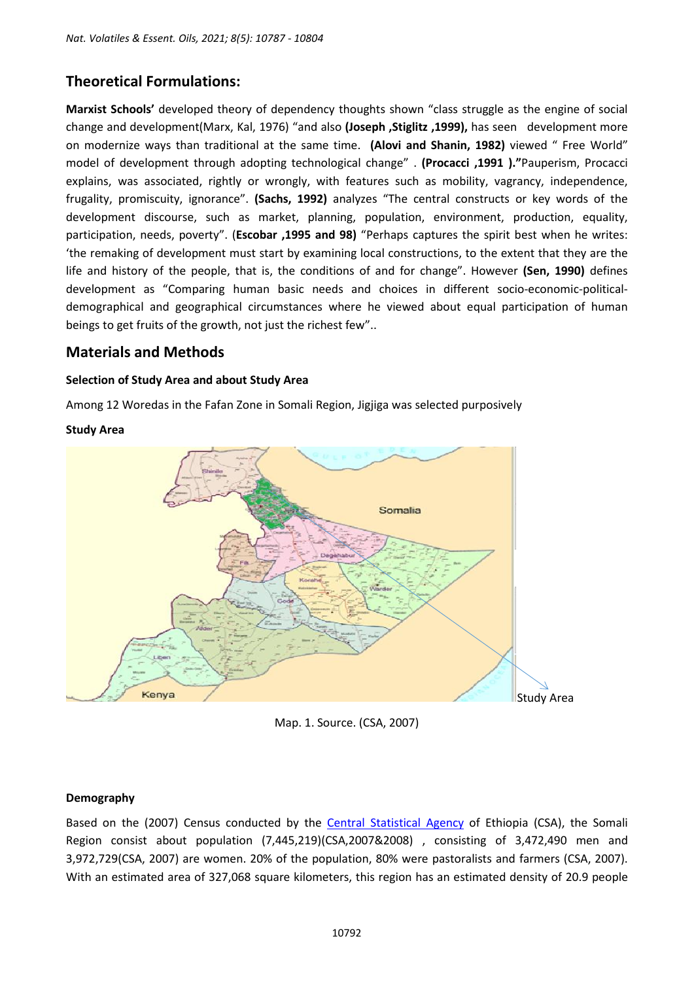# **Theoretical Formulations:**

**Marxist Schools'** developed theory of dependency thoughts shown "class struggle as the engine of social change and development(Marx, Kal, 1976) "and also **(Joseph ,Stiglitz ,1999),** has seen development more on modernize ways than traditional at the same time. **(Alovi and Shanin, 1982)** viewed " Free World" model of development through adopting technological change" . **(Procacci ,1991 )."**Pauperism, Procacci explains, was associated, rightly or wrongly, with features such as mobility, vagrancy, independence, frugality, promiscuity, ignorance". **(Sachs, 1992)** analyzes "The central constructs or key words of the development discourse, such as market, planning, population, environment, production, equality, participation, needs, poverty". (**Escobar ,1995 and 98)** "Perhaps captures the spirit best when he writes: 'the remaking of development must start by examining local constructions, to the extent that they are the life and history of the people, that is, the conditions of and for change". However **(Sen, 1990)** defines development as "Comparing human basic needs and choices in different socio-economic-politicaldemographical and geographical circumstances where he viewed about equal participation of human beings to get fruits of the growth, not just the richest few"..

# **Materials and Methods**

### **Selection of Study Area and about Study Area**

Among 12 Woredas in the Fafan Zone in Somali Region, Jigjiga was selected purposively



### **Study Area**

Map. 1. Source. (CSA, 2007)

#### **Demography**

Based on the (2007) Census conducted by the Central [Statistical](https://en.wikipedia.org/wiki/Central_Statistical_Agency_(Ethiopia)) Agency of Ethiopia (CSA), the Somali Region consist about population (7,445,219)(CSA,2007&2008) , consisting of 3,472,490 men and 3,972,729(CSA, 2007) are women. 20% of the population, 80% were pastoralists and farmers (CSA, 2007). With an estimated area of 327,068 square kilometers, this region has an estimated density of 20.9 people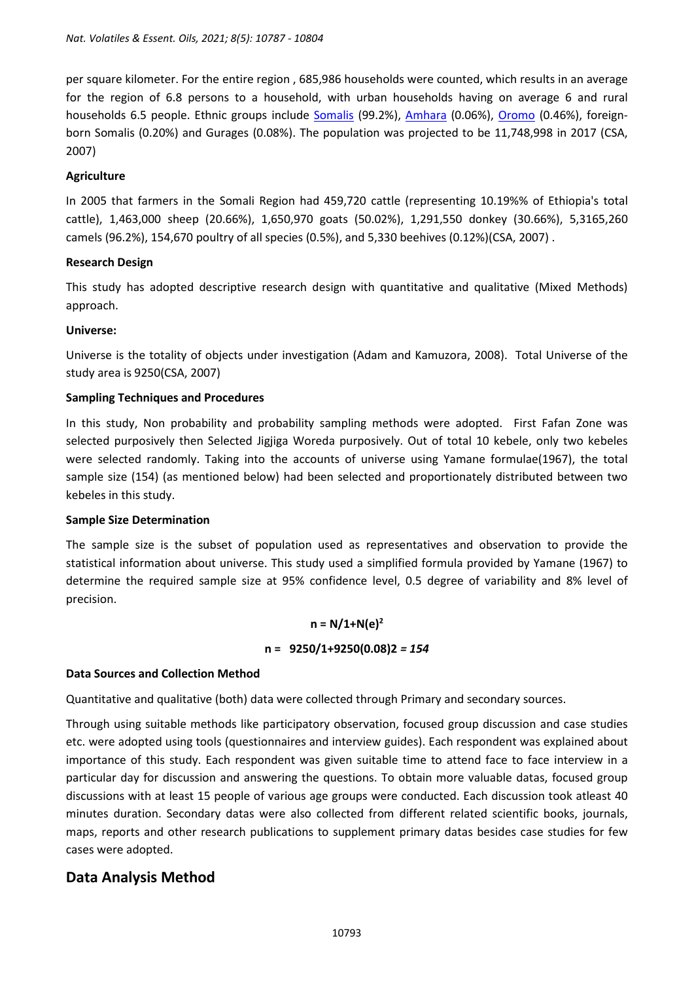per square kilometer. For the entire region , 685,986 households were counted, which results in an average for the region of 6.8 persons to a household, with urban households having on average 6 and rural households 6.5 people. Ethnic groups include [Somalis](https://en.wikipedia.org/wiki/Somali_people) (99.2%), [Amhara](https://en.wikipedia.org/wiki/Amhara_people) (0.06%), [Oromo](https://en.wikipedia.org/wiki/Oromo_people) (0.46%), foreignborn Somalis (0.20%) and Gurages (0.08%). The population was projected to be 11,748,998 in 2017 (CSA, 2007)

#### **Agriculture**

In 2005 that farmers in the Somali Region had 459,720 cattle (representing 10.19%% of Ethiopia's total cattle), 1,463,000 sheep (20.66%), 1,650,970 goats (50.02%), 1,291,550 donkey (30.66%), 5,3165,260 camels (96.2%), 154,670 poultry of all species (0.5%), and 5,330 beehives (0.12%)(CSA, 2007) .

#### **Research Design**

This study has adopted descriptive research design with quantitative and qualitative (Mixed Methods) approach.

### **Universe:**

Universe is the totality of objects under investigation (Adam and Kamuzora, 2008). Total Universe of the study area is 9250(CSA, 2007)

### **Sampling Techniques and Procedures**

In this study, Non probability and probability sampling methods were adopted. First Fafan Zone was selected purposively then Selected Jigjiga Woreda purposively. Out of total 10 kebele, only two kebeles were selected randomly. Taking into the accounts of universe using Yamane formulae(1967), the total sample size (154) (as mentioned below) had been selected and proportionately distributed between two kebeles in this study.

#### **Sample Size Determination**

The sample size is the subset of population used as representatives and observation to provide the statistical information about universe. This study used a simplified formula provided by Yamane (1967) to determine the required sample size at 95% confidence level, 0.5 degree of variability and 8% level of precision.

#### $n = N/1 + N(e)^2$

#### **n = 9250/1+9250(0.08)2** *= 154*

#### **Data Sources and Collection Method**

Quantitative and qualitative (both) data were collected through Primary and secondary sources.

Through using suitable methods like participatory observation, focused group discussion and case studies etc. were adopted using tools (questionnaires and interview guides). Each respondent was explained about importance of this study. Each respondent was given suitable time to attend face to face interview in a particular day for discussion and answering the questions. To obtain more valuable datas, focused group discussions with at least 15 people of various age groups were conducted. Each discussion took atleast 40 minutes duration. Secondary datas were also collected from different related scientific books, journals, maps, reports and other research publications to supplement primary datas besides case studies for few cases were adopted.

# **Data Analysis Method**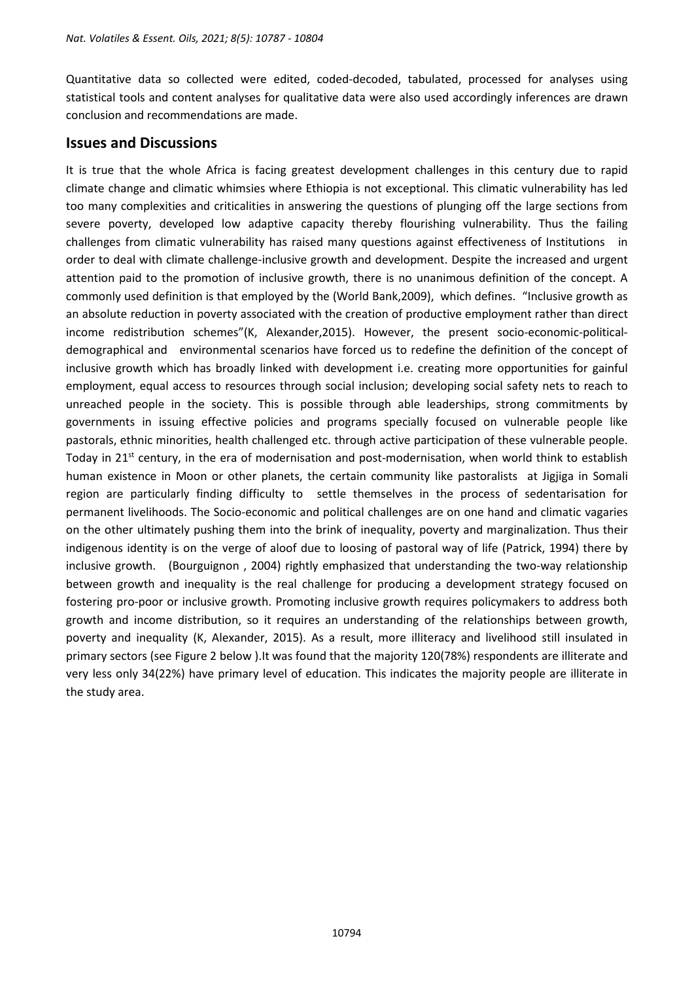Quantitative data so collected were edited, coded-decoded, tabulated, processed for analyses using statistical tools and content analyses for qualitative data were also used accordingly inferences are drawn conclusion and recommendations are made.

# **Issues and Discussions**

It is true that the whole Africa is facing greatest development challenges in this century due to rapid climate change and climatic whimsies where Ethiopia is not exceptional. This climatic vulnerability has led too many complexities and criticalities in answering the questions of plunging off the large sections from severe poverty, developed low adaptive capacity thereby flourishing vulnerability. Thus the failing challenges from climatic vulnerability has raised many questions against effectiveness of Institutions in order to deal with climate challenge-inclusive growth and development. Despite the increased and urgent attention paid to the promotion of inclusive growth, there is no unanimous definition of the concept. A commonly used definition is that employed by the (World Bank,2009), which defines. "Inclusive growth as an absolute reduction in poverty associated with the creation of productive employment rather than direct income redistribution schemes"(K, Alexander,2015). However, the present socio-economic-politicaldemographical and environmental scenarios have forced us to redefine the definition of the concept of inclusive growth which has broadly linked with development i.e. creating more opportunities for gainful employment, equal access to resources through social inclusion; developing social safety nets to reach to unreached people in the society. This is possible through able leaderships, strong commitments by governments in issuing effective policies and programs specially focused on vulnerable people like pastorals, ethnic minorities, health challenged etc. through active participation of these vulnerable people. Today in 21<sup>st</sup> century, in the era of modernisation and post-modernisation, when world think to establish human existence in Moon or other planets, the certain community like pastoralists at Jigjiga in Somali region are particularly finding difficulty to settle themselves in the process of sedentarisation for permanent livelihoods. The Socio-economic and political challenges are on one hand and climatic vagaries on the other ultimately pushing them into the brink of inequality, poverty and marginalization. Thus their indigenous identity is on the verge of aloof due to loosing of pastoral way of life (Patrick, 1994) there by inclusive growth. (Bourguignon , 2004) rightly emphasized that understanding the two-way relationship between growth and inequality is the real challenge for producing a development strategy focused on fostering pro-poor or inclusive growth. Promoting inclusive growth requires policymakers to address both growth and income distribution, so it requires an understanding of the relationships between growth, poverty and inequality (K, Alexander, 2015). As a result, more illiteracy and livelihood still insulated in primary sectors (see Figure 2 below ).It was found that the majority 120(78%) respondents are illiterate and very less only 34(22%) have primary level of education. This indicates the majority people are illiterate in the study area.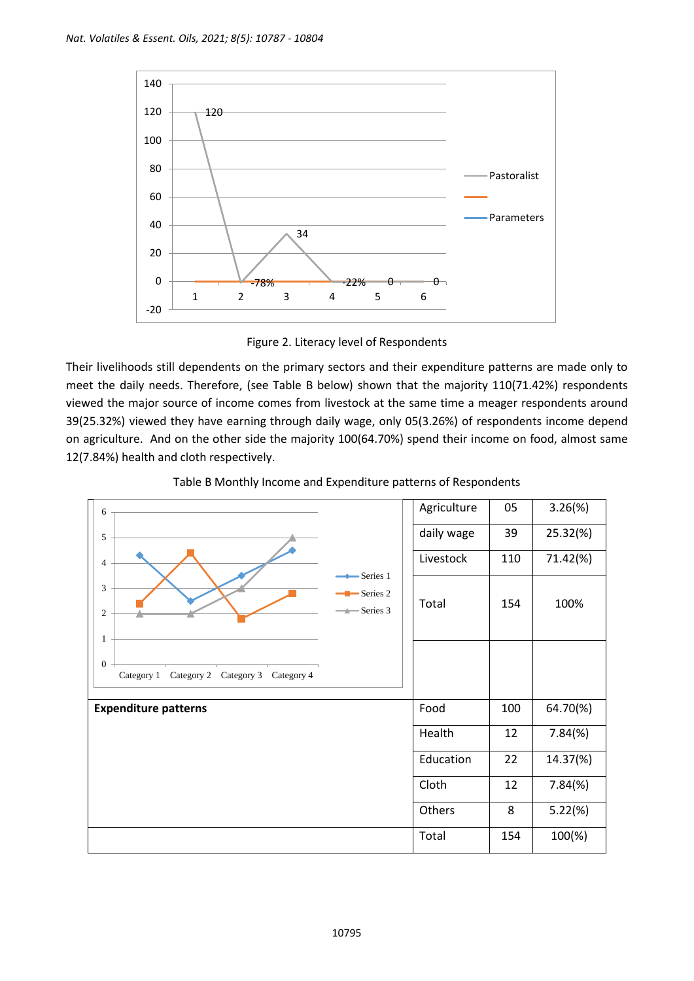

Figure 2. Literacy level of Respondents

Their livelihoods still dependents on the primary sectors and their expenditure patterns are made only to meet the daily needs. Therefore, (see Table B below) shown that the majority 110(71.42%) respondents viewed the major source of income comes from livestock at the same time a meager respondents around 39(25.32%) viewed they have earning through daily wage, only 05(3.26%) of respondents income depend on agriculture. And on the other side the majority 100(64.70%) spend their income on food, almost same 12(7.84%) health and cloth respectively.

| 6                                                                             | Agriculture | 05  | $3.26(\%)$ |
|-------------------------------------------------------------------------------|-------------|-----|------------|
| 5                                                                             | daily wage  | 39  | 25.32(%)   |
| $\overline{4}$<br>Series 1                                                    | Livestock   | 110 | 71.42(%)   |
| 3<br>Series <sub>2</sub><br>$\longrightarrow$ Series 3<br>$\mathfrak{2}$<br>1 | Total       | 154 | 100%       |
| $\mathbf{0}$<br>Category 2 Category 3<br>Category 1<br>Category 4             |             |     |            |
| <b>Expenditure patterns</b>                                                   | Food        | 100 | 64.70(%)   |
|                                                                               | Health      | 12  | $7.84(\%)$ |
|                                                                               | Education   | 22  | 14.37(%)   |
|                                                                               | Cloth       | 12  | $7.84(\%)$ |
|                                                                               | Others      | 8   | $5.22(\%)$ |
|                                                                               | Total       | 154 | 100(%)     |

Table B Monthly Income and Expenditure patterns of Respondents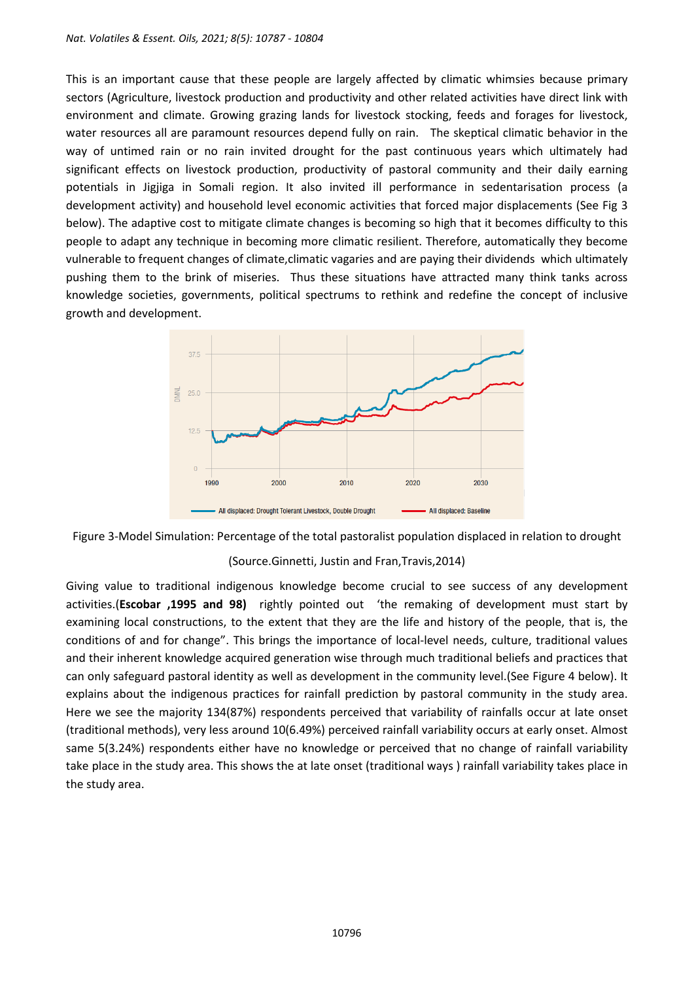This is an important cause that these people are largely affected by climatic whimsies because primary sectors (Agriculture, livestock production and productivity and other related activities have direct link with environment and climate. Growing grazing lands for livestock stocking, feeds and forages for livestock, water resources all are paramount resources depend fully on rain. The skeptical climatic behavior in the way of untimed rain or no rain invited drought for the past continuous years which ultimately had significant effects on livestock production, productivity of pastoral community and their daily earning potentials in Jigjiga in Somali region. It also invited ill performance in sedentarisation process (a development activity) and household level economic activities that forced major displacements (See Fig 3 below). The adaptive cost to mitigate climate changes is becoming so high that it becomes difficulty to this people to adapt any technique in becoming more climatic resilient. Therefore, automatically they become vulnerable to frequent changes of climate,climatic vagaries and are paying their dividends which ultimately pushing them to the brink of miseries. Thus these situations have attracted many think tanks across knowledge societies, governments, political spectrums to rethink and redefine the concept of inclusive growth and development.





#### (Source.Ginnetti, Justin and Fran,Travis,2014)

Giving value to traditional indigenous knowledge become crucial to see success of any development activities.(**Escobar ,1995 and 98)** rightly pointed out 'the remaking of development must start by examining local constructions, to the extent that they are the life and history of the people, that is, the conditions of and for change". This brings the importance of local-level needs, culture, traditional values and their inherent knowledge acquired generation wise through much traditional beliefs and practices that can only safeguard pastoral identity as well as development in the community level.(See Figure 4 below). It explains about the indigenous practices for rainfall prediction by pastoral community in the study area. Here we see the majority 134(87%) respondents perceived that variability of rainfalls occur at late onset (traditional methods), very less around 10(6.49%) perceived rainfall variability occurs at early onset. Almost same 5(3.24%) respondents either have no knowledge or perceived that no change of rainfall variability take place in the study area. This shows the at late onset (traditional ways ) rainfall variability takes place in the study area.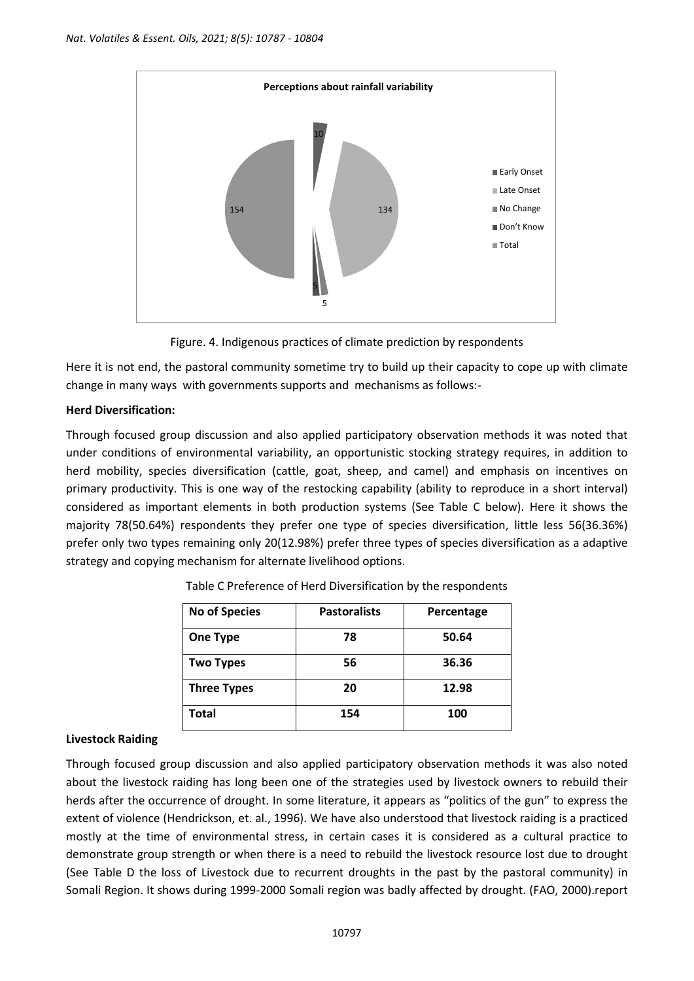

Figure. 4. Indigenous practices of climate prediction by respondents

Here it is not end, the pastoral community sometime try to build up their capacity to cope up with climate change in many ways with governments supports and mechanisms as follows:-

### **Herd Diversification:**

Through focused group discussion and also applied participatory observation methods it was noted that under conditions of environmental variability, an opportunistic stocking strategy requires, in addition to herd mobility, species diversification (cattle, goat, sheep, and camel) and emphasis on incentives on primary productivity. This is one way of the restocking capability (ability to reproduce in a short interval) considered as important elements in both production systems (See Table C below). Here it shows the majority 78(50.64%) respondents they prefer one type of species diversification, little less 56(36.36%) prefer only two types remaining only 20(12.98%) prefer three types of species diversification as a adaptive strategy and copying mechanism for alternate livelihood options.

| <b>No of Species</b> | <b>Pastoralists</b> | Percentage |
|----------------------|---------------------|------------|
| <b>One Type</b>      | 78                  | 50.64      |
| <b>Two Types</b>     | 56                  | 36.36      |
| <b>Three Types</b>   | 20                  | 12.98      |
| Total                | 154                 | 100        |

Table C Preference of Herd Diversification by the respondents

# **Livestock Raiding**

Through focused group discussion and also applied participatory observation methods it was also noted about the livestock raiding has long been one of the strategies used by livestock owners to rebuild their herds after the occurrence of drought. In some literature, it appears as "politics of the gun" to express the extent of violence (Hendrickson, et. al., 1996). We have also understood that livestock raiding is a practiced mostly at the time of environmental stress, in certain cases it is considered as a cultural practice to demonstrate group strength or when there is a need to rebuild the livestock resource lost due to drought (See Table D the loss of Livestock due to recurrent droughts in the past by the pastoral community) in Somali Region. It shows during 1999-2000 Somali region was badly affected by drought. (FAO, 2000).report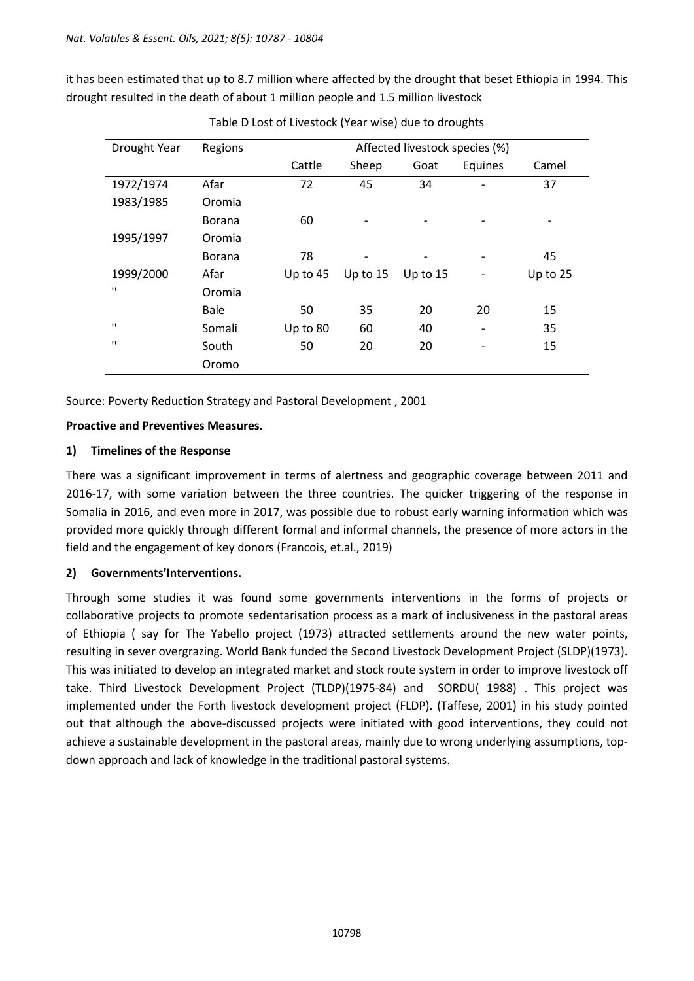it has been estimated that up to 8.7 million where affected by the drought that beset Ethiopia in 1994. This drought resulted in the death of about 1 million people and 1.5 million livestock

| Drought Year   | Regions       | Affected livestock species (%) |                              |            |                              |          |
|----------------|---------------|--------------------------------|------------------------------|------------|------------------------------|----------|
|                |               | Cattle                         | Sheep                        | Goat       | Equines                      | Camel    |
| 1972/1974      | Afar          | 72                             | 45                           | 34         | Ĭ.                           | 37       |
| 1983/1985      | Oromia        |                                |                              |            |                              |          |
|                | <b>Borana</b> | 60                             | $\overline{a}$               |            | $\qquad \qquad \blacksquare$ |          |
| 1995/1997      | Oromia        |                                |                              |            |                              |          |
|                | <b>Borana</b> | 78                             | $\qquad \qquad \blacksquare$ |            | $\overline{a}$               | 45       |
| 1999/2000      | Afar          | Up to $45$                     | Up to $15$                   | Up to $15$ |                              | Up to 25 |
| $\blacksquare$ | Oromia        |                                |                              |            |                              |          |
|                | Bale          | 50                             | 35                           | 20         | 20                           | 15       |
| $\blacksquare$ | Somali        | Up to 80                       | 60                           | 40         | $\overline{a}$               | 35       |
| $\blacksquare$ | South         | 50                             | 20                           | 20         | ۰                            | 15       |
|                | Oromo         |                                |                              |            |                              |          |

Table D Lost of Livestock (Year wise) due to droughts

Source: Poverty Reduction Strategy and Pastoral Development , 2001

### **Proactive and Preventives Measures.**

# **1) Timelines of the Response**

There was a significant improvement in terms of alertness and geographic coverage between 2011 and 2016-17, with some variation between the three countries. The quicker triggering of the response in Somalia in 2016, and even more in 2017, was possible due to robust early warning information which was provided more quickly through different formal and informal channels, the presence of more actors in the field and the engagement of key donors (Francois, et.al., 2019)

# **2) Governments'Interventions.**

Through some studies it was found some governments interventions in the forms of projects or collaborative projects to promote sedentarisation process as a mark of inclusiveness in the pastoral areas of Ethiopia ( say for The Yabello project (1973) attracted settlements around the new water points, resulting in sever overgrazing. World Bank funded the Second Livestock Development Project (SLDP)(1973). This was initiated to develop an integrated market and stock route system in order to improve livestock off take. Third Livestock Development Project (TLDP)(1975-84) and SORDU( 1988) . This project was implemented under the Forth livestock development project (FLDP). (Taffese, 2001) in his study pointed out that although the above-discussed projects were initiated with good interventions, they could not achieve a sustainable development in the pastoral areas, mainly due to wrong underlying assumptions, topdown approach and lack of knowledge in the traditional pastoral systems.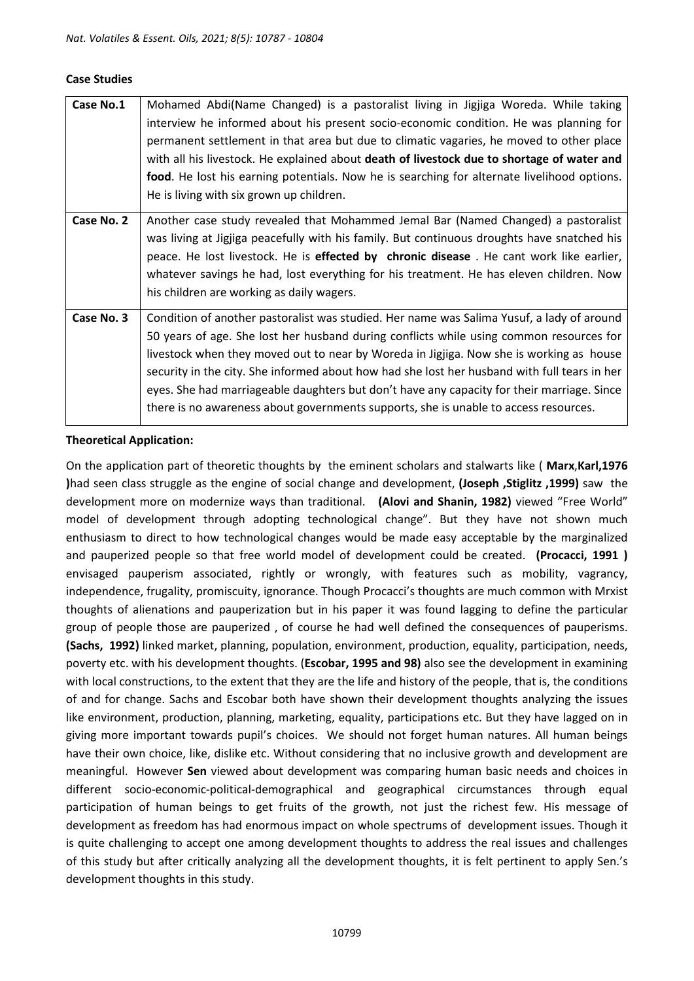#### **Case Studies**

| Case No.1  | Mohamed Abdi(Name Changed) is a pastoralist living in Jigjiga Woreda. While taking<br>interview he informed about his present socio-economic condition. He was planning for<br>permanent settlement in that area but due to climatic vagaries, he moved to other place<br>with all his livestock. He explained about death of livestock due to shortage of water and<br>food. He lost his earning potentials. Now he is searching for alternate livelihood options.<br>He is living with six grown up children.                                                       |
|------------|-----------------------------------------------------------------------------------------------------------------------------------------------------------------------------------------------------------------------------------------------------------------------------------------------------------------------------------------------------------------------------------------------------------------------------------------------------------------------------------------------------------------------------------------------------------------------|
| Case No. 2 | Another case study revealed that Mohammed Jemal Bar (Named Changed) a pastoralist<br>was living at Jigjiga peacefully with his family. But continuous droughts have snatched his<br>peace. He lost livestock. He is effected by chronic disease. He cant work like earlier,<br>whatever savings he had, lost everything for his treatment. He has eleven children. Now<br>his children are working as daily wagers.                                                                                                                                                   |
| Case No. 3 | Condition of another pastoralist was studied. Her name was Salima Yusuf, a lady of around<br>50 years of age. She lost her husband during conflicts while using common resources for<br>livestock when they moved out to near by Woreda in Jigjiga. Now she is working as house<br>security in the city. She informed about how had she lost her husband with full tears in her<br>eyes. She had marriageable daughters but don't have any capacity for their marriage. Since<br>there is no awareness about governments supports, she is unable to access resources. |

#### **Theoretical Application:**

On the application part of theoretic thoughts by the eminent scholars and stalwarts like ( **Marx**,**Karl,1976 )**had seen class struggle as the engine of social change and development, **(Joseph ,Stiglitz ,1999)** saw the development more on modernize ways than traditional. **(Alovi and Shanin, 1982)** viewed "Free World" model of development through adopting technological change". But they have not shown much enthusiasm to direct to how technological changes would be made easy acceptable by the marginalized and pauperized people so that free world model of development could be created. **(Procacci, 1991 )** envisaged pauperism associated, rightly or wrongly, with features such as mobility, vagrancy, independence, frugality, promiscuity, ignorance. Though Procacci's thoughts are much common with Mrxist thoughts of alienations and pauperization but in his paper it was found lagging to define the particular group of people those are pauperized , of course he had well defined the consequences of pauperisms. **(Sachs, 1992)** linked market, planning, population, environment, production, equality, participation, needs, poverty etc. with his development thoughts. (**Escobar, 1995 and 98)** also see the development in examining with local constructions, to the extent that they are the life and history of the people, that is, the conditions of and for change. Sachs and Escobar both have shown their development thoughts analyzing the issues like environment, production, planning, marketing, equality, participations etc. But they have lagged on in giving more important towards pupil's choices. We should not forget human natures. All human beings have their own choice, like, dislike etc. Without considering that no inclusive growth and development are meaningful. However **Sen** viewed about development was comparing human basic needs and choices in different socio-economic-political-demographical and geographical circumstances through equal participation of human beings to get fruits of the growth, not just the richest few. His message of development as freedom has had enormous impact on whole spectrums of development issues. Though it is quite challenging to accept one among development thoughts to address the real issues and challenges of this study but after critically analyzing all the development thoughts, it is felt pertinent to apply Sen.'s development thoughts in this study.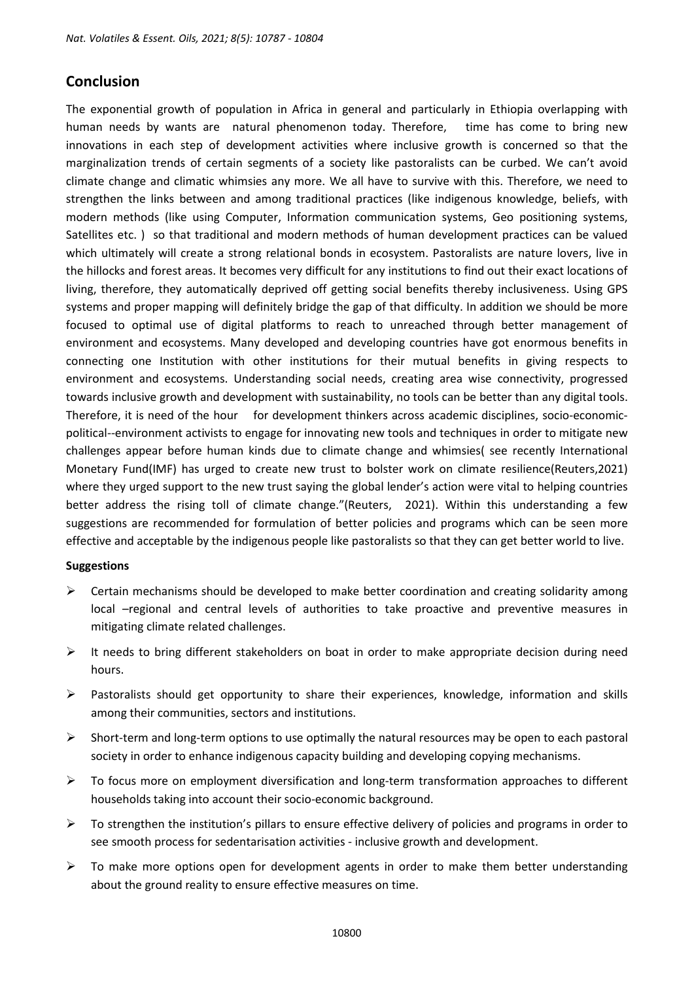# **Conclusion**

The exponential growth of population in Africa in general and particularly in Ethiopia overlapping with human needs by wants are natural phenomenon today. Therefore, time has come to bring new innovations in each step of development activities where inclusive growth is concerned so that the marginalization trends of certain segments of a society like pastoralists can be curbed. We can't avoid climate change and climatic whimsies any more. We all have to survive with this. Therefore, we need to strengthen the links between and among traditional practices (like indigenous knowledge, beliefs, with modern methods (like using Computer, Information communication systems, Geo positioning systems, Satellites etc. ) so that traditional and modern methods of human development practices can be valued which ultimately will create a strong relational bonds in ecosystem. Pastoralists are nature lovers, live in the hillocks and forest areas. It becomes very difficult for any institutions to find out their exact locations of living, therefore, they automatically deprived off getting social benefits thereby inclusiveness. Using GPS systems and proper mapping will definitely bridge the gap of that difficulty. In addition we should be more focused to optimal use of digital platforms to reach to unreached through better management of environment and ecosystems. Many developed and developing countries have got enormous benefits in connecting one Institution with other institutions for their mutual benefits in giving respects to environment and ecosystems. Understanding social needs, creating area wise connectivity, progressed towards inclusive growth and development with sustainability, no tools can be better than any digital tools. Therefore, it is need of the hour for development thinkers across academic disciplines, socio-economicpolitical--environment activists to engage for innovating new tools and techniques in order to mitigate new challenges appear before human kinds due to climate change and whimsies( see recently International Monetary Fund(IMF) has urged to create new trust to bolster work on climate resilience(Reuters,2021) where they urged support to the new trust saying the global lender's action were vital to helping countries better address the rising toll of climate change."(Reuters, 2021). Within this understanding a few suggestions are recommended for formulation of better policies and programs which can be seen more effective and acceptable by the indigenous people like pastoralists so that they can get better world to live.

#### **Suggestions**

- $\triangleright$  Certain mechanisms should be developed to make better coordination and creating solidarity among local –regional and central levels of authorities to take proactive and preventive measures in mitigating climate related challenges.
- $\triangleright$  It needs to bring different stakeholders on boat in order to make appropriate decision during need hours.
- ➢ Pastoralists should get opportunity to share their experiences, knowledge, information and skills among their communities, sectors and institutions.
- $\triangleright$  Short-term and long-term options to use optimally the natural resources may be open to each pastoral society in order to enhance indigenous capacity building and developing copying mechanisms.
- $\triangleright$  To focus more on employment diversification and long-term transformation approaches to different households taking into account their socio-economic background.
- $\triangleright$  To strengthen the institution's pillars to ensure effective delivery of policies and programs in order to see smooth process for sedentarisation activities - inclusive growth and development.
- $\triangleright$  To make more options open for development agents in order to make them better understanding about the ground reality to ensure effective measures on time.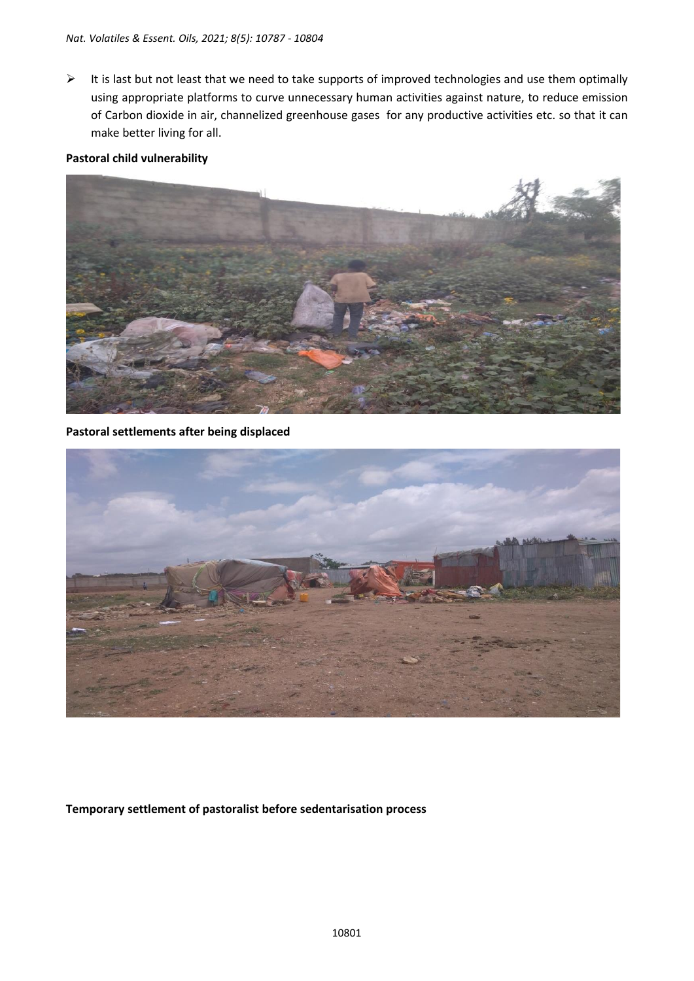➢ It is last but not least that we need to take supports of improved technologies and use them optimally using appropriate platforms to curve unnecessary human activities against nature, to reduce emission of Carbon dioxide in air, channelized greenhouse gases for any productive activities etc. so that it can make better living for all.

### **Pastoral child vulnerability**



**Pastoral settlements after being displaced**



### **Temporary settlement of pastoralist before sedentarisation process**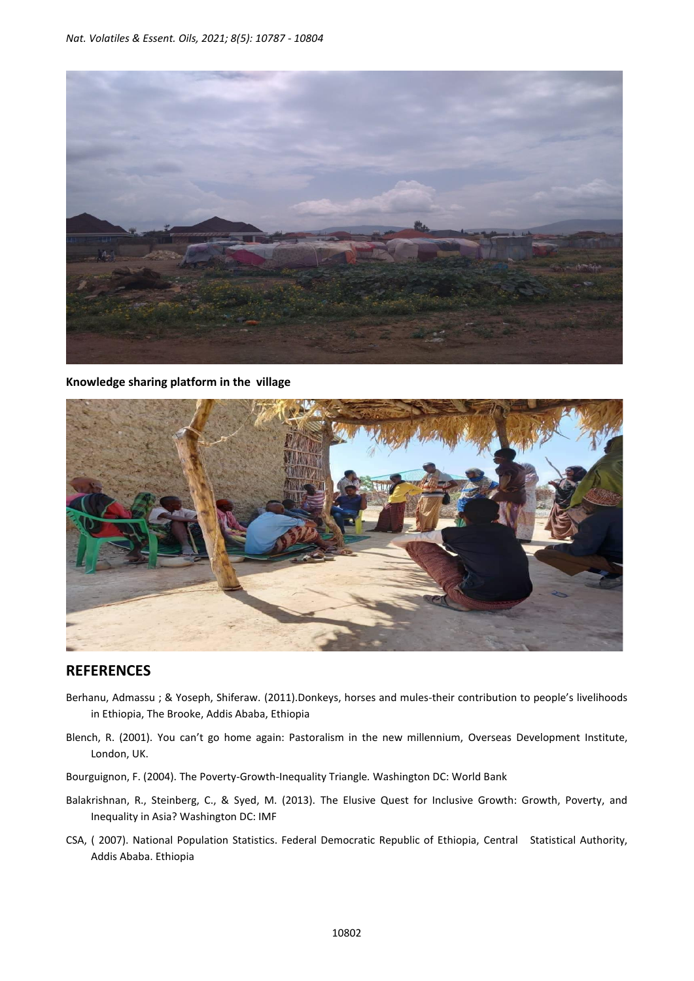

**Knowledge sharing platform in the village**



# **REFERENCES**

- Berhanu, Admassu ; & Yoseph, Shiferaw. (2011).Donkeys, horses and mules-their contribution to people's livelihoods in Ethiopia, The Brooke, Addis Ababa, Ethiopia
- Blench, R. (2001). You can't go home again: Pastoralism in the new millennium, Overseas Development Institute, London, UK.
- Bourguignon, F. (2004). The Poverty-Growth-Inequality Triangle*.* Washington DC: World Bank
- Balakrishnan, R., Steinberg, C., & Syed, M. (2013). The Elusive Quest for Inclusive Growth: Growth, Poverty, and Inequality in Asia? Washington DC: IMF
- CSA, ( 2007). National Population Statistics. Federal Democratic Republic of Ethiopia, Central Statistical Authority, Addis Ababa. Ethiopia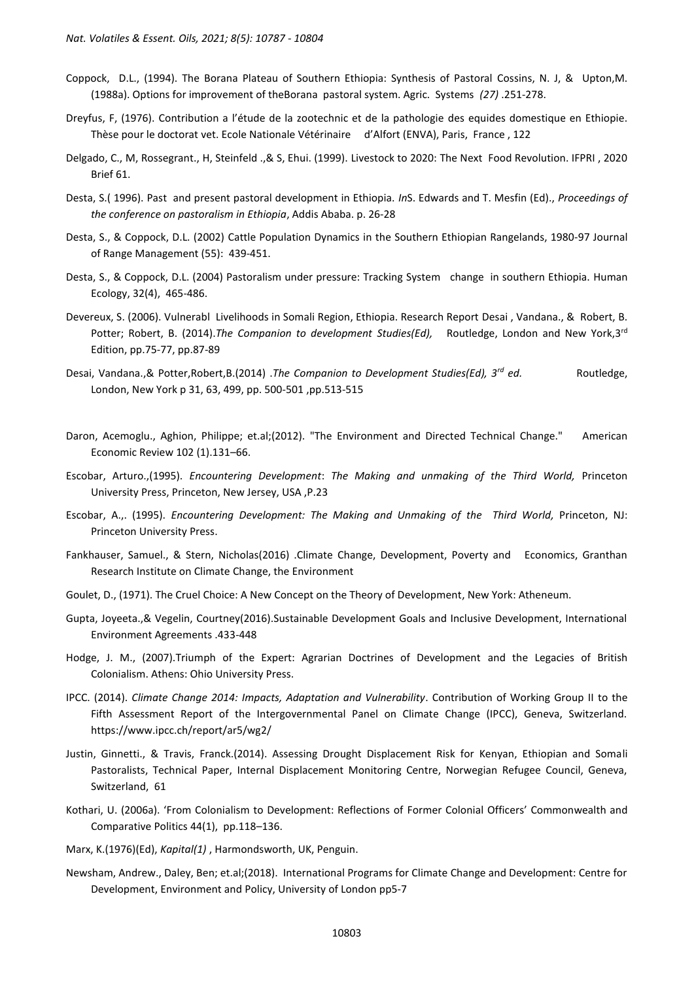- Coppock, D.L., (1994). The Borana Plateau of Southern Ethiopia: Synthesis of Pastoral Cossins, N. J, & Upton,M. (1988a). Options for improvement of theBorana pastoral system. Agric. Systems *(27)* .251-278.
- Dreyfus, F, (1976). Contribution a l'étude de la zootechnic et de la pathologie des equides domestique en Ethiopie. Thèse pour le doctorat vet. Ecole Nationale Vétérinaire d'Alfort (ENVA), Paris, France , 122
- Delgado, C., M, Rossegrant., H, Steinfeld .,& S, Ehui. (1999). Livestock to 2020: The Next Food Revolution. IFPRI , 2020 Brief 61.
- Desta, S.( 1996). Past and present pastoral development in Ethiopia. *In*S. Edwards and T. Mesfin (Ed)., *Proceedings of the conference on pastoralism in Ethiopia*, Addis Ababa. p. 26-28
- Desta, S., & Coppock, D.L. (2002) Cattle Population Dynamics in the Southern Ethiopian Rangelands, 1980-97 Journal of Range Management (55): 439-451.
- Desta, S., & Coppock, D.L. (2004) Pastoralism under pressure: Tracking System change in southern Ethiopia. Human Ecology, 32(4), 465-486.
- Devereux, S. (2006). Vulnerabl Livelihoods in Somali Region, Ethiopia. Research Report Desai , Vandana., & Robert, B. Potter; Robert, B. (2014).*The Companion to development Studies(Ed),* Routledge, London and New York,3rd Edition, pp.75-77, pp.87-89
- Desai, Vandana.,& Potter,Robert,B.(2014) .*The Companion to Development Studies(Ed), 3rd ed.* Routledge, London, New York p 31, 63, 499, pp. 500-501 ,pp.513-515
- Daron, Acemoglu., Aghion, Philippe; et.al;(2012). "The Environment and Directed Technical Change." American Economic Review 102 (1).131–66.
- Escobar, Arturo.,(1995). *Encountering Development*: *The Making and unmaking of the Third World,* Princeton University Press, Princeton, New Jersey, USA ,P.23
- Escobar, A.,. (1995). *Encountering Development: The Making and Unmaking of the Third World,* Princeton, NJ: Princeton University Press.
- Fankhauser, Samuel., & Stern, Nicholas(2016) .Climate Change, Development, Poverty and Economics, Granthan Research Institute on Climate Change, the Environment
- Goulet, D., (1971). The Cruel Choice: A New Concept on the Theory of Development, New York: Atheneum.
- Gupta, Joyeeta.,& Vegelin, Courtney(2016).Sustainable Development Goals and Inclusive Development, International Environment Agreements .433-448
- Hodge, J. M., (2007).Triumph of the Expert: Agrarian Doctrines of Development and the Legacies of British Colonialism. Athens: Ohio University Press.
- IPCC. (2014). *Climate Change 2014: Impacts, Adaptation and Vulnerability*. Contribution of Working Group II to the Fifth Assessment Report of the Intergovernmental Panel on Climate Change (IPCC), Geneva, Switzerland. https://www.ipcc.ch/report/ar5/wg2/
- Justin, Ginnetti., & Travis, Franck.(2014). Assessing Drought Displacement Risk for Kenyan, Ethiopian and Somali Pastoralists, Technical Paper, Internal Displacement Monitoring Centre, Norwegian Refugee Council, Geneva, Switzerland, 61
- Kothari, U. (2006a). 'From Colonialism to Development: Reflections of Former Colonial Officers' Commonwealth and Comparative Politics 44(1), pp.118–136.
- Marx, K.(1976)(Ed), *Kapital(1)* , Harmondsworth, UK, Penguin.
- Newsham, Andrew., Daley, Ben; et.al;(2018). International Programs for Climate Change and Development: Centre for Development, Environment and Policy, University of London pp5-7